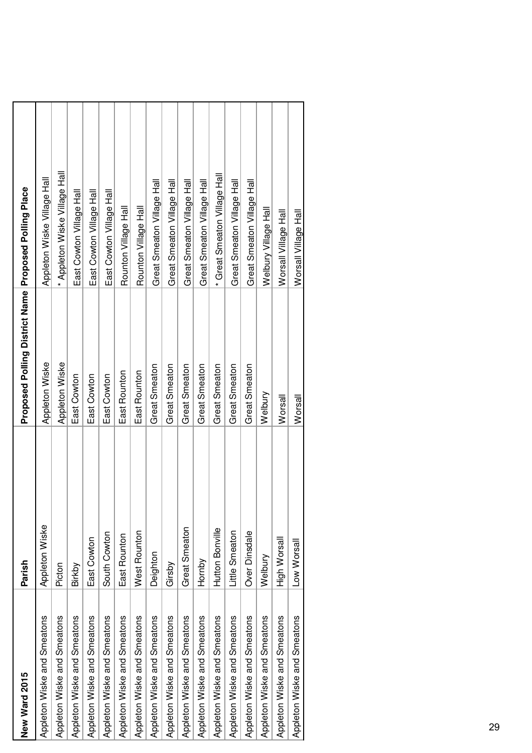| New Ward 2015               | Parish          | Proposed Polling District Name Proposed Polling Place |                               |
|-----------------------------|-----------------|-------------------------------------------------------|-------------------------------|
| Appleton Wiske and Smeatons | Appleton Wiske  | Appleton Wiske                                        | Appleton Wiske Village Hall   |
| Appleton Wiske and Smeatons | Picton          | Appleton Wiske                                        | * Appleton Wiske Village Hall |
| Appleton Wiske and Smeatons | Birkby          | East Cowton                                           | East Cowton Village Hall      |
| Appleton Wiske and Smeatons | East Cowton     | East Cowton                                           | East Cowton Village Hall      |
| Appleton Wiske and Smeatons | South Cowton    | East Cowton                                           | East Cowton Village Hall      |
| Appleton Wiske and Smeatons | East Rounton    | East Rounton                                          | Rounton Village Hall          |
| Appleton Wiske and Smeatons | West Rounton    | East Rounton                                          | Rounton Village Hall          |
| Appleton Wiske and Smeatons | Deighton        | Great Smeaton                                         | Great Smeaton Village Hall    |
| Appleton Wiske and Smeatons | Girsby          | Great Smeaton                                         | Great Smeaton Village Hall    |
| Appleton Wiske and Smeatons | Great Smeaton   | Great Smeaton                                         | Great Smeaton Village Hall    |
| Appleton Wiske and Smeatons | Hornby          | Great Smeaton                                         | Great Smeaton Village Hall    |
| Appleton Wiske and Smeatons | Hutton Bonville | Great Smeaton                                         | Great Smeaton Village Hall    |
| Appleton Wiske and Smeatons | Little Smeaton  | Great Smeaton                                         | Great Smeaton Village Hall    |
| Appleton Wiske and Smeatons | Over Dinsdale   | <b>Great Smeaton</b>                                  | Great Smeaton Village Hall    |
| Appleton Wiske and Smeatons | Welbury         | Welbury                                               | Welbury Village Hall          |
| Appleton Wiske and Smeatons | High Worsal     | Worsall                                               | Worsall Village Hall          |
| Appleton Wiske and Smeatons | Low Worsall     | Worsall                                               | Worsall Village Hall          |
|                             |                 |                                                       |                               |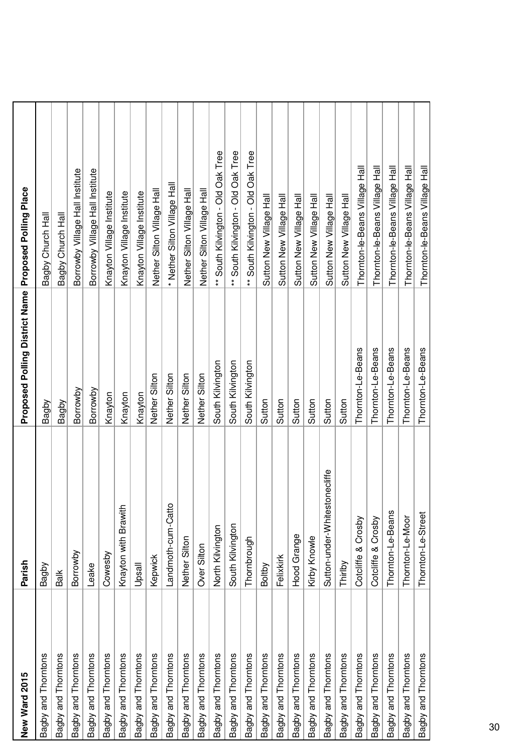| New Ward 2015       | Parish                            | Proposed Polling District Name Proposed Polling Place |                                    |
|---------------------|-----------------------------------|-------------------------------------------------------|------------------------------------|
| Bagby and Thorntons | Bagby                             | Bagby                                                 | Bagby Church Hall                  |
| Bagby and Thorntons | Balk                              | Bagby                                                 | Bagby Church Hall                  |
| Bagby and Thorntons | Borrowby                          | Borrowby                                              | Borrowby Village Hall Institute    |
| Bagby and Thorntons | Leake                             | Borrowby                                              | Borrowby Village Hall Institute    |
| Bagby and Thorntons | Cowesby                           | Knayton                                               | Knayton Village Institute          |
| Bagby and Thorntons | Knayton with Brawith              | Knayton                                               | Knayton Village Institute          |
| Bagby and Thorntons | Upsall                            | Knayton                                               | Knayton Village Institute          |
| Bagby and Thorntons | Kepwick                           | Nether Silton                                         | Nether Silton Village Hall         |
| Bagby and Thorntons | Landmoth-cum-Catto                | Nether Silton                                         | * Nether Silton Village Hall       |
| Bagby and Thorntons | Nether Silton                     | Nether Silton                                         | Nether Silton Village Hall         |
| Bagby and Thorntons | Over Silton                       | Nether Silton                                         | Nether Silton Village Hall         |
| Bagby and Thorntons | North Kilvington                  | South Kilvington                                      | ** South Kilvington - Old Oak Tree |
| Bagby and Thorntons | South Kilvington                  | South Kilvington                                      | ** South Kilvington - Old Oak Tree |
| Bagby and Thorntons | Thornbrough                       | South Kilvington                                      | ** South Kilvington - Old Oak Tree |
| Bagby and Thorntons | Boltby                            | Sutton                                                | Sutton New Village Hall            |
| Bagby and Thorntons | Felixkirk                         | Sutton                                                | Sutton New Village Hall            |
| Bagby and Thorntons | Hood Grange                       | Sutton                                                | Sutton New Village Hall            |
| Bagby and Thorntons | Kirby Knowle                      | Sutton                                                | Sutton New Village Hall            |
| Bagby and Thorntons | tonecliffe<br>Sutton-under-Whites | Sutton                                                | Sutton New Village Hall            |
| Bagby and Thorntons | Thirlby                           | Sutton                                                | Sutton New Village Hall            |
| Bagby and Thorntons | Cotcliffe & Crosby                | Thornton-Le-Beans                                     | Thornton-le-Beans Village Hall     |
| Bagby and Thorntons | Cotcliffe & Crosby                | Thornton-Le-Beans                                     | Thornton-le-Beans Village Hall     |
| Bagby and Thorntons | Thornton-Le-Beans                 | Thornton-Le-Beans                                     | Thornton-le-Beans Village Hall     |
| Bagby and Thorntons | Thornton-Le-Moor                  | Thornton-Le-Beans                                     | Thornton-le-Beans Village Hall     |
| Bagby and Thorntons | Thornton-Le-Street                | Thornton-Le-Beans                                     | Thornton-le-Beans Village Hall     |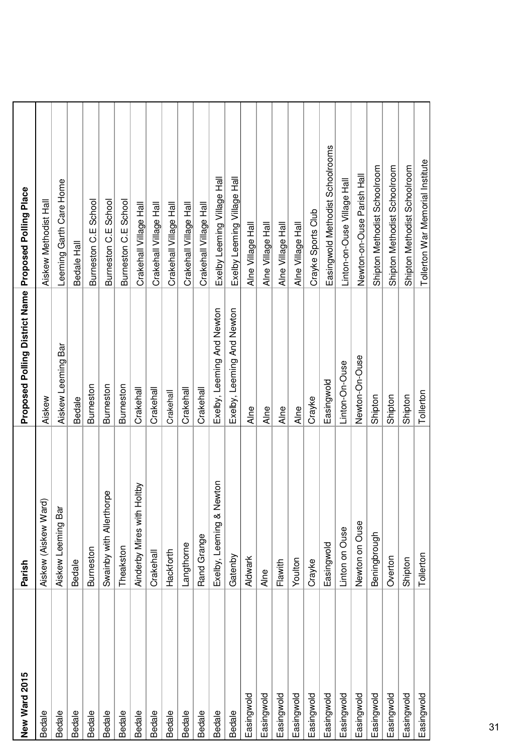| New Ward 2015 | Parish                        | Proposed Polling District Name Proposed Polling Place |                                  |
|---------------|-------------------------------|-------------------------------------------------------|----------------------------------|
| <b>Bedale</b> | ত<br>Aiskew (Aiskew War       | Aiskew                                                | Aiskew Methodist Hall            |
| <b>Bedale</b> | Aiskew Leeming Bar            | Aiskew Leeming Bar                                    | Leeming Garth Care Home          |
| <b>Bedale</b> | <b>Bedale</b>                 | <b>Bedale</b>                                         | Bedale Hall                      |
| <b>Bedale</b> | Burneston                     | <b>Burneston</b>                                      | Burneston C.E School             |
| <b>Bedale</b> | Swainby with Allerthorpe      | Burneston                                             | Burneston C.E School             |
| <b>Bedale</b> | Theakston                     | Burneston                                             | Burneston C.E School             |
| <b>Bedale</b> | Holtby<br>Ainderby Mires with | Crakehall                                             | Crakehall Village Hall           |
| <b>Bedale</b> | Crakehall                     | Crakehall                                             | Crakehall Village Hall           |
| <b>Bedale</b> | Hackforth                     | Crakehall                                             | Crakehall Village Hall           |
| <b>Bedale</b> | Langthorne                    | Crakehall                                             | Crakehall Village Hall           |
| <b>Bedale</b> | Rand Grange                   | Crakehall                                             | Crakehall Village Hall           |
| <b>Bedale</b> | lewton<br>Exelby, Leeming & N | Exelby, Leeming And Newton                            | Exelby Leeming Village Hall      |
| <b>Bedale</b> | Gatenby                       | Exelby, Leeming And Newton                            | Exelby Leeming Village Hall      |
| Easingwold    | Aldwark                       | Alne                                                  | Alne Village Hall                |
| Easingwold    | Alne                          | Alne                                                  | Alne Village Hall                |
| Easingwold    | Flawith                       | Alne                                                  | Alne Village Hall                |
| Easingwold    | Youlton                       | Alne                                                  | Alne Village Hall                |
| Easingwold    | Crayke                        | Crayke                                                | Crayke Sports Club               |
| Easingwold    | Easingwold                    | Easingwold                                            | Easingwold Methodist Schoolrooms |
| Easingwold    | Linton on Ouse                | Linton-On-Ouse                                        | Linton-on-Ouse Village Hall      |
| Easingwold    | Newton on Ouse                | Newton-On-Ouse                                        | Newton-on-Ouse Parish Hall       |
| Easingwold    | Beningbrough                  | Shipton                                               | Shipton Methodist Schoolroom     |
| Easingwold    | Overton                       | Shipton                                               | Shipton Methodist Schoolroom     |
| Easingwold    | Shipton                       | Shipton                                               | Shipton Methodist Schoolroom     |
| Easingwold    | Tollerton                     | Tollerton                                             | Tollerton War Memorial Institute |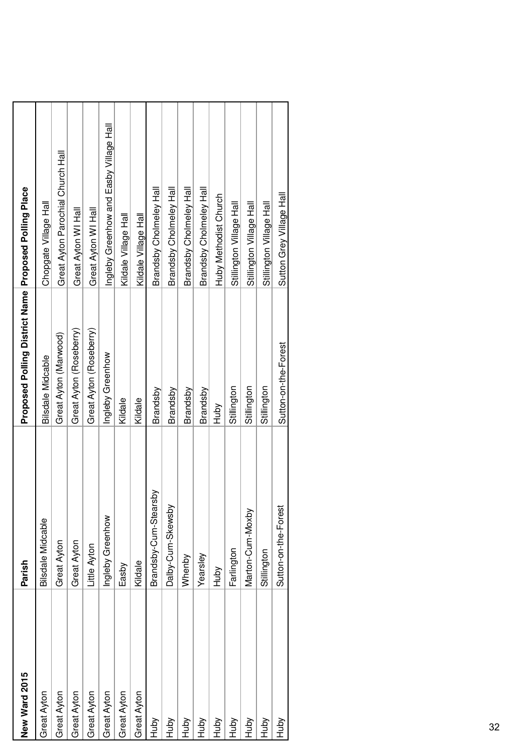| New Ward 2015 | Parish                     | Proposed Polling District Name Proposed Polling Place |                                         |
|---------------|----------------------------|-------------------------------------------------------|-----------------------------------------|
| Great Ayton   | <b>Bilsdale Midcable</b>   | Bilsdale Midcable                                     | Chopgate Village Hall                   |
| Great Ayton   | Great Ayton                | Great Ayton (Marwood)                                 | Great Ayton Parochial Church Hall       |
| Great Ayton   | Great Ayton                | Great Ayton (Roseberry)                               | Great Ayton WI Hall                     |
| Great Ayton   | -ittle Ayton               | Great Ayton (Roseberry)                               | Great Ayton WI Hall                     |
| Great Ayton   | Ingleby Greenhow           | Ingleby Greenhow                                      | Ingleby Greenhow and Easby Village Hall |
| Great Ayton   | Easby                      | Kildale                                               | Kildale Village Hall                    |
| Great Ayton   | Kildale                    | Kildale                                               | Kildale Village Hall                    |
| Huby          | λqs.<br>Brandsby-Cum-Stear | Brandsby                                              | Brandsby Cholmeley Hall                 |
| Huby          | Dalby-Cum-Skewsby          | Brandsby                                              | Brandsby Cholmeley Hall                 |
| Huby          | Whenby                     | Brandsby                                              | Brandsby Cholmeley Hall                 |
| Huby          | Yearsley                   | Brandsby                                              | Brandsby Cholmeley Hall                 |
| Huby          | Huby                       | VqnHi                                                 | Huby Methodist Church                   |
| Huby          | Farlington                 | Stillington                                           | Stillington Village Hall                |
| Huby          | Marton-Cum-Moxby           | Stillington                                           | Stillington Village Hall                |
| Huby          | Stillington                | Stillington                                           | Stillington Village Hall                |
| Huby          | Sutton-on-the-Forest       | Sutton-on-the-Forest                                  | Sutton Grey Village Hall                |
|               |                            |                                                       |                                         |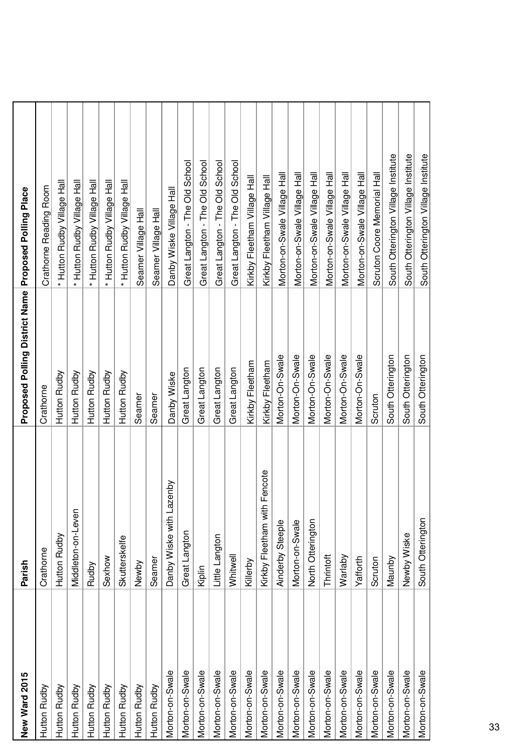| New Ward 2015   | Parish                          | Proposed Polling District Name Proposed Polling Place |                                     |
|-----------------|---------------------------------|-------------------------------------------------------|-------------------------------------|
| Hutton Rudby    | Crathorne                       | Crathorne                                             | Crathorne Reading Room              |
| Hutton Rudby    | Hutton Rudby                    | Hutton Rudby                                          | Hutton Rudby Village Hall           |
| Hutton Rudby    | Middleton-on-Leven              | Hutton Rudby                                          | * Hutton Rudby Village Hall         |
| Hutton Rudby    | Rudby                           | Hutton Rudby                                          | Hutton Rudby Village Hall           |
| Hutton Rudby    | Sexhow                          | Hutton Rudby                                          | Hutton Rudby Village Hall           |
| Hutton Rudby    | Skutterskelfe                   | Hutton Rudby                                          | * Hutton Rudby Village Hall         |
| Hutton Rudby    | Newby                           | Seamer                                                | Seamer Village Hall                 |
| Hutton Rudby    | Seamer                          | Seamer                                                | Seamer Village Hall                 |
| Morton-on-Swale | izenby<br>Danby Wiske with La   | Danby Wiske                                           | Danby Wiske Village Hall            |
| Morton-on-Swale | Great Langton                   | Great Langton                                         | Great Langton - The Old School      |
| Morton-on-Swale | Kiplin                          | Great Langton                                         | Great Langton - The Old School      |
| Morton-on-Swale | Little Langton                  | Great Langton                                         | Great Langton - The Old School      |
| Morton-on-Swale | Whitwell                        | Great Langton                                         | Great Langton - The Old School      |
| Morton-on-Swale | Killerby                        | Kirkby Fleetham                                       | Kirkby Fleetham Village Hall        |
| Morton-on-Swale | Fencote<br>Kirkby Fleetham with | Kirkby Fleetham                                       | Kirkby Fleetham Village Hall        |
| Morton-on-Swale | Ainderby Steeple                | Morton-On-Swale                                       | Morton-on-Swale Village Hall        |
| Morton-on-Swale | Morton-on-Swale                 | Morton-On-Swale                                       | Morton-on-Swale Village Hall        |
| Morton-on-Swale | North Otterington               | Morton-On-Swale                                       | Morton-on-Swale Village Hall        |
| Morton-on-Swale | Thrintoft                       | Morton-On-Swale                                       | Morton-on-Swale Village Hall        |
| Morton-on-Swale | Warlaby                         | Morton-On-Swale                                       | Morton-on-Swale Village Hall        |
| Morton-on-Swale | Yafforth                        | Morton-On-Swale                                       | Morton-on-Swale Village Hall        |
| Morton-on-Swale | Scruton                         | Scruton                                               | Scruton Coore Memorial Hall         |
| Morton-on-Swale | Maunby                          | South Otterington                                     | South Otterington Village Institute |
| Morton-on-Swale | Newby Wiske                     | South Otterington                                     | South Otterington Village Institute |
| Morton-on-Swale | South Otterington               | South Otterington                                     | South Otterington Village Institute |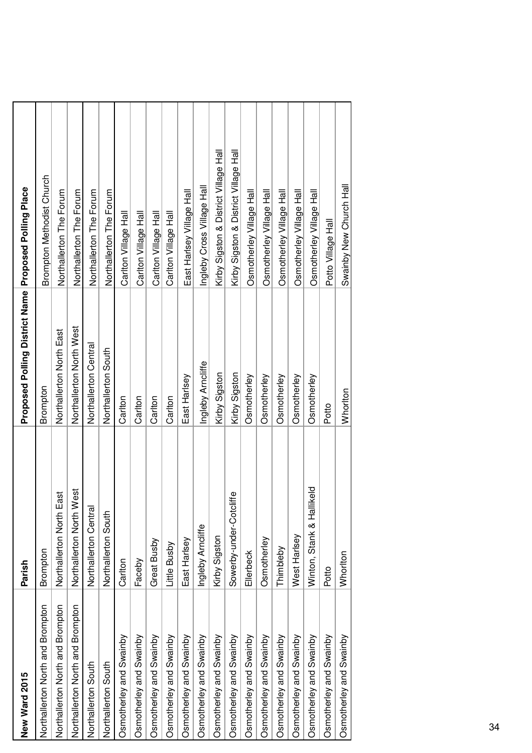| New Ward 2015                    | Parish                        | Proposed Polling District Name Proposed Polling Place |                                       |
|----------------------------------|-------------------------------|-------------------------------------------------------|---------------------------------------|
| Northallerton North and Brompton | Brompton                      | Brompton                                              | <b>Brompton Methodist Church</b>      |
| Northallerton North and Brompton | ast<br>Northallerton North E  | Northallerton North East                              | Northallerton The Forum               |
| Northallerton North and Brompton | Northallerton North West      | Northallerton North West                              | Northallerton The Forum               |
| Northallerton South              | Northallerton Central         | Northallerton Central                                 | Northallerton The Forum               |
| Northallerton South              | Northallerton South           | Northallerton South                                   | Northallerton The Forum               |
| Osmotherley and Swainby          | Carlton                       | Carlton                                               | Carlton Village Hall                  |
| Osmotherley and Swainby          | Faceby                        | Carlton                                               | Carlton Village Hall                  |
| Osmotherley and Swainby          | Great Busby                   | Carlton                                               | Carlton Village Hall                  |
| Osmotherley and Swainby          | Little Busby                  | Carlton                                               | Carlton Village Hall                  |
| Osmotherley and Swainby          | East Harlsey                  | East Harlsey                                          | East Harlsey Village Hall             |
| Osmotherley and Swainby          | Ingleby Arncliffe             | Ingleby Arncliffe                                     | Ingleby Cross Village Hall            |
| Osmotherley and Swainby          | Kirby Sigston                 | Kirby Sigston                                         | Kirby Sigston & District Village Hall |
| Osmotherley and Swainby          | Sowerby-under-Cotcliffe       | Kirby Sigston                                         | Kirby Sigston & District Village Hall |
| Osmotherley and Swainby          | Ellerbeck                     | Osmotherley                                           | Osmotherley Village Hall              |
| Osmotherley and Swainby          | Osmotherley                   | Osmotherley                                           | Osmotherley Village Hall              |
| Osmotherley and Swainby          | Thimbleby                     | Osmotherley                                           | Osmotherley Village Hall              |
| Osmotherley and Swainby          | West Harlsey                  | Osmotherley                                           | Osmotherley Village Hall              |
| Osmotherley and Swainby          | ikeld<br>Winton, Stank & Hall | Osmotherley                                           | Osmotherley Village Hall              |
| Osmotherley and Swainby          | Potto                         | Potto                                                 | Potto Village Hall                    |
| Osmotherley and Swainby          | Whorlton                      | Whorlton                                              | Swainby New Church Hall               |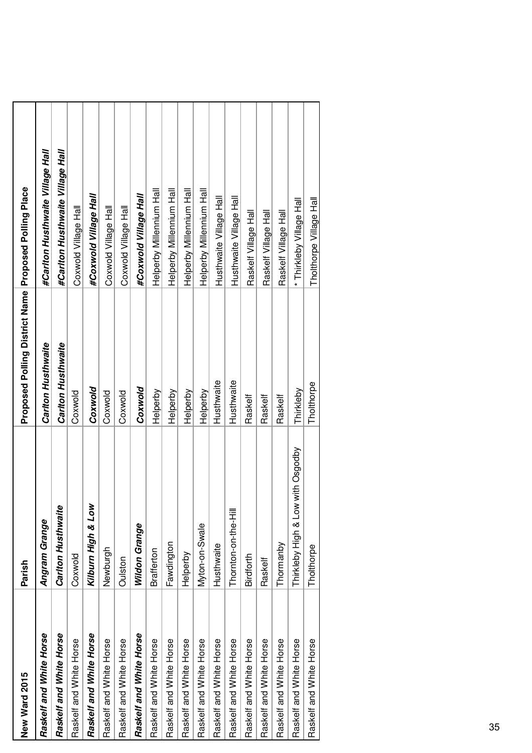| New Ward 2015           | Parish                            | Proposed Polling District Name Proposed Polling Place |                                  |
|-------------------------|-----------------------------------|-------------------------------------------------------|----------------------------------|
| Raskelf and White Horse | Angram Grange                     | Carlton Husthwaite                                    | #Carlton Husthwaite Village Hall |
| Raskelf and White Horse | Carlton Husthwaite                | Carlton Husthwaite                                    | #Carlton Husthwaite Village Hall |
| Raskelf and White Horse | Coxwold                           | Coxwold                                               | Coxwold Village Hall             |
| Raskelf and White Horse | Kilburn High & Low                | Coxwold                                               | #Coxwold Village Hall            |
| Raskelf and White Horse | Newburgh                          | Coxwold                                               | Coxwold Village Hall             |
| Raskelf and White Horse | Oulston                           | Coxwold                                               | Coxwold Village Hall             |
| Raskelf and White Horse | Wildon Grange                     | Coxwold                                               | #Coxwold Village Hall            |
| Raskelf and White Horse | <b>Brafferton</b>                 | Helperby                                              | Helperby Millennium Hall         |
| Raskelf and White Horse | Fawdington                        | Helperby                                              | Helperby Millennium Hall         |
| Raskelf and White Horse | Helperby                          | Helperby                                              | Helperby Millennium Hall         |
| Raskelf and White Horse | Myton-on-Swale                    | Helperby                                              | Helperby Millennium Hall         |
| Raskelf and White Horse | Husthwaite                        | Husthwaite                                            | Husthwaite Village Hall          |
| Raskelf and White Horse | Thornton-on-the-Hill              | Husthwaite                                            | Husthwaite Village Hall          |
| Raskelf and White Horse | Birdforth                         | Raskelf                                               | Raskelf Village Hall             |
| Raskelf and White Horse | Raskelf                           | Raskelf                                               | Raskelf Village Hall             |
| Raskelf and White Horse | Thormanby                         | Raskelf                                               | Raskelf Village Hall             |
| Raskelf and White Horse | Thirkleby High & Low with Osgodby | Thirkleby                                             | * Thirkleby Village Hall         |
| Raskelf and White Horse | Tholthorpe                        | Tholthorpe                                            | Tholthorpe Village Hall          |
|                         |                                   |                                                       |                                  |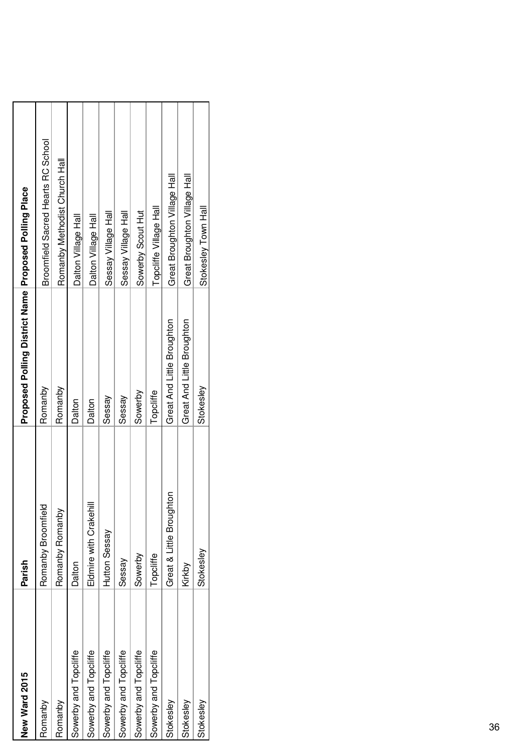| New Ward 2015         | Parish                   | Proposed Polling District Name Proposed Polling Place |                                    |
|-----------------------|--------------------------|-------------------------------------------------------|------------------------------------|
| Romanby               | Romanby Broomfield       | Romanby                                               | Broomfield Sacred Hearts RC School |
| Romanby               | Romanby Romanby          | Romanby                                               | Romanby Methodist Church Hall      |
| Sowerby and Topcliffe | Dalton                   | Dalton                                                | Dalton Village Hall                |
| Sowerby and Topcliffe | Eldmire with Crakehil    | Dalton                                                | Dalton Village Hall                |
| Sowerby and Topcliffe | Hutton Sessay            | Sessay                                                | Sessay Village Hall                |
| Sowerby and Topcliffe | Sessay                   | Sessay                                                | Sessay Village Hall                |
| Sowerby and Topcliffe | Sowerby                  | Sowerby                                               | Sowerby Scout Hut                  |
| Sowerby and Topcliffe | Topcliffe                | Topcliffe                                             | Topcliffe Village Hall             |
| Stokesley             | Great & Little Broughton | Great And Little Broughton                            | Great Broughton Village Hall       |
| Stokesley             | Kirkby                   | Great And Little Broughton                            | Great Broughton Village Hall       |
| Stokesley             | Stokesley                | Stokesley                                             | Stokesley Town Hall                |
|                       |                          |                                                       |                                    |